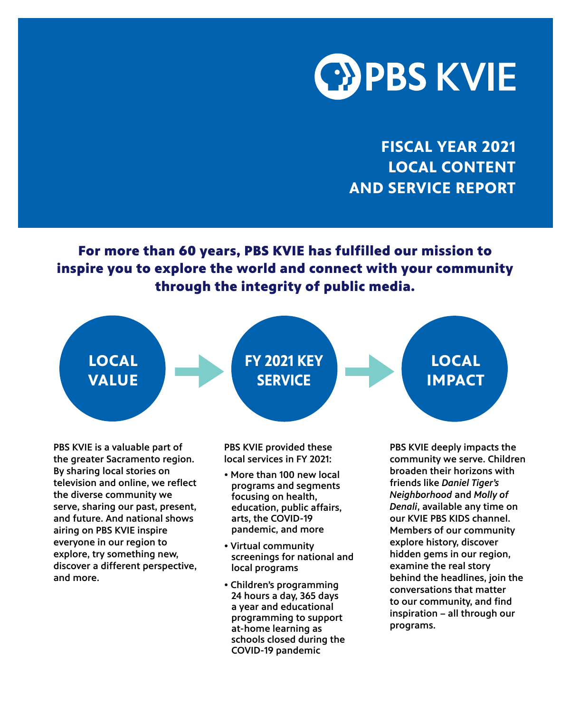

**FISCAL YEAR 2021 LOCAL CONTENT AND SERVICE REPORT**

For more than 60 years, PBS KVIE has fulfilled our mission to inspire you to explore the world and connect with your community through the integrity of public media.



PBS KVIE is a valuable part of the greater Sacramento region. By sharing local stories on television and online, we reflect the diverse community we serve, sharing our past, present, and future. And national shows airing on PBS KVIE inspire everyone in our region to explore, try something new, discover a different perspective, and more.

PBS KVIE provided these local services in FY 2021:

- More than 100 new local programs and segments focusing on health, education, public affairs, arts, the COVID-19 pandemic, and more
- Virtual community screenings for national and local programs
- Children's programming 24 hours a day, 365 days a year and educational programming to support at-home learning as schools closed during the COVID-19 pandemic

PBS KVIE deeply impacts the community we serve. Children broaden their horizons with friends like *Daniel Tiger's Neighborhood* and *Molly of Denali*, available any time on our KVIE PBS KIDS channel. Members of our community explore history, discover hidden gems in our region, examine the real story behind the headlines, join the conversations that matter to our community, and find inspiration – all through our programs.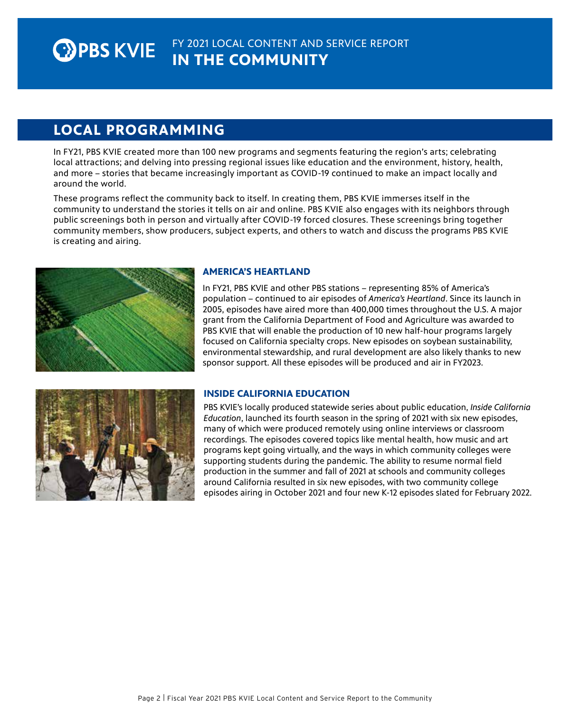## **LOCAL PROGRAMMING**

In FY21, PBS KVIE created more than 100 new programs and segments featuring the region's arts; celebrating local attractions; and delving into pressing regional issues like education and the environment, history, health, and more – stories that became increasingly important as COVID-19 continued to make an impact locally and around the world.

These programs reflect the community back to itself. In creating them, PBS KVIE immerses itself in the community to understand the stories it tells on air and online. PBS KVIE also engages with its neighbors through public screenings both in person and virtually after COVID-19 forced closures. These screenings bring together community members, show producers, subject experts, and others to watch and discuss the programs PBS KVIE is creating and airing.



### **AMERICA'S HEARTLAND**

In FY21, PBS KVIE and other PBS stations – representing 85% of America's population – continued to air episodes of *America's Heartland*. Since its launch in 2005, episodes have aired more than 400,000 times throughout the U.S. A major grant from the California Department of Food and Agriculture was awarded to PBS KVIE that will enable the production of 10 new half-hour programs largely focused on California specialty crops. New episodes on soybean sustainability, environmental stewardship, and rural development are also likely thanks to new sponsor support. All these episodes will be produced and air in FY2023.



### **INSIDE CALIFORNIA EDUCATION**

PBS KVIE's locally produced statewide series about public education, *Inside California Education*, launched its fourth season in the spring of 2021 with six new episodes, many of which were produced remotely using online interviews or classroom recordings. The episodes covered topics like mental health, how music and art programs kept going virtually, and the ways in which community colleges were supporting students during the pandemic. The ability to resume normal field production in the summer and fall of 2021 at schools and community colleges around California resulted in six new episodes, with two community college episodes airing in October 2021 and four new K-12 episodes slated for February 2022.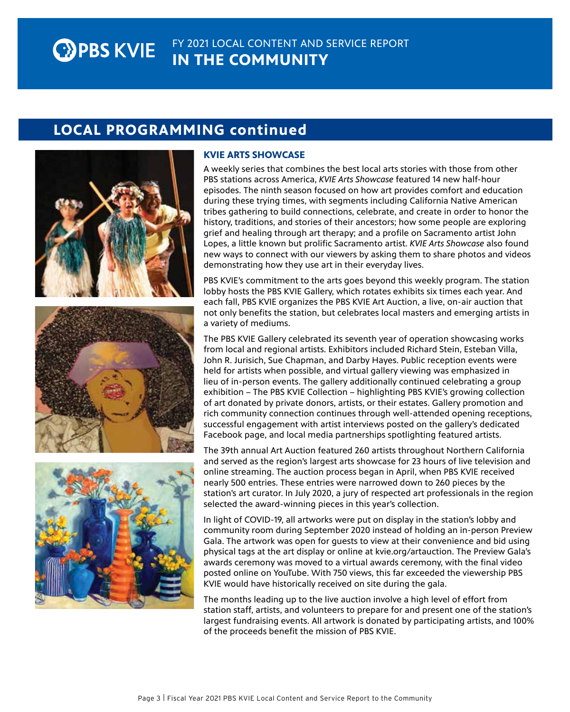#### FY 2021 LOCAL CONTENT AND SERVICE REPORT **OPBS KVIE IN THE COMMUNITY**

## **LOCAL PROGRAMMING continued**







### **KVIE ARTS SHOWCASE**

A weekly series that combines the best local arts stories with those from other PBS stations across America, *KVIE Arts Showcase* featured 14 new half-hour episodes. The ninth season focused on how art provides comfort and education during these trying times, with segments including California Native American tribes gathering to build connections, celebrate, and create in order to honor the history, traditions, and stories of their ancestors; how some people are exploring grief and healing through art therapy; and a profile on Sacramento artist John Lopes, a little known but prolific Sacramento artist. *KVIE Arts Showcase* also found new ways to connect with our viewers by asking them to share photos and videos demonstrating how they use art in their everyday lives.

PBS KVIE's commitment to the arts goes beyond this weekly program. The station lobby hosts the PBS KVIE Gallery, which rotates exhibits six times each year. And each fall, PBS KVIE organizes the PBS KVIE Art Auction, a live, on-air auction that not only benefits the station, but celebrates local masters and emerging artists in a variety of mediums.

The PBS KVIE Gallery celebrated its seventh year of operation showcasing works from local and regional artists. Exhibitors included Richard Stein, Esteban Villa, John R. Jurisich, Sue Chapman, and Darby Hayes. Public reception events were held for artists when possible, and virtual gallery viewing was emphasized in lieu of in-person events. The gallery additionally continued celebrating a group exhibition – The PBS KVIE Collection – highlighting PBS KVIE's growing collection of art donated by private donors, artists, or their estates. Gallery promotion and rich community connection continues through well-attended opening receptions, successful engagement with artist interviews posted on the gallery's dedicated Facebook page, and local media partnerships spotlighting featured artists.

The 39th annual Art Auction featured 260 artists throughout Northern California and served as the region's largest arts showcase for 23 hours of live television and online streaming. The auction process began in April, when PBS KVIE received nearly 500 entries. These entries were narrowed down to 260 pieces by the station's art curator. In July 2020, a jury of respected art professionals in the region selected the award-winning pieces in this year's collection.

In light of COVID-19, all artworks were put on display in the station's lobby and community room during September 2020 instead of holding an in-person Preview Gala. The artwork was open for guests to view at their convenience and bid using physical tags at the art display or online at kvie.org/artauction. The Preview Gala's awards ceremony was moved to a virtual awards ceremony, with the final video posted online on YouTube. With 750 views, this far exceeded the viewership PBS KVIE would have historically received on site during the gala.

The months leading up to the live auction involve a high level of effort from station staff, artists, and volunteers to prepare for and present one of the station's largest fundraising events. All artwork is donated by participating artists, and 100% of the proceeds benefit the mission of PBS KVIE.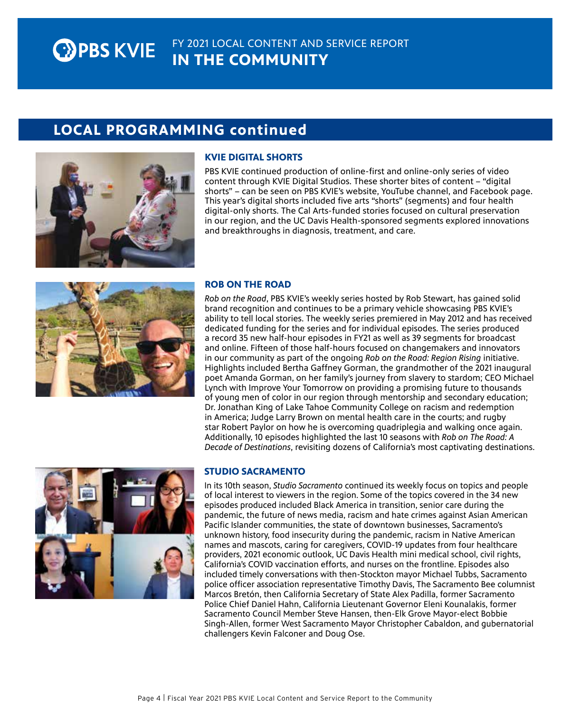#### FY 2021 LOCAL CONTENT AND SERVICE REPORT **EXPBS KVIE IN THE COMMUNITY**

# **LOCAL PROGRAMMING continued**



#### **KVIE DIGITAL SHORTS**

PBS KVIE continued production of online-first and online-only series of video content through KVIE Digital Studios. These shorter bites of content – "digital shorts" – can be seen on PBS KVIE's website, YouTube channel, and Facebook page. This year's digital shorts included five arts "shorts" (segments) and four health digital-only shorts. The Cal Arts-funded stories focused on cultural preservation in our region, and the UC Davis Health-sponsored segments explored innovations and breakthroughs in diagnosis, treatment, and care.



#### **ROB ON THE ROAD**

*Rob on the Road*, PBS KVIE's weekly series hosted by Rob Stewart, has gained solid brand recognition and continues to be a primary vehicle showcasing PBS KVIE's ability to tell local stories. The weekly series premiered in May 2012 and has received dedicated funding for the series and for individual episodes. The series produced a record 35 new half-hour episodes in FY21 as well as 39 segments for broadcast and online. Fifteen of those half-hours focused on changemakers and innovators in our community as part of the ongoing *Rob on the Road: Region Rising* initiative. Highlights included Bertha Gaffney Gorman, the grandmother of the 2021 inaugural poet Amanda Gorman, on her family's journey from slavery to stardom; CEO Michael Lynch with Improve Your Tomorrow on providing a promising future to thousands of young men of color in our region through mentorship and secondary education; Dr. Jonathan King of Lake Tahoe Community College on racism and redemption in America; Judge Larry Brown on mental health care in the courts; and rugby star Robert Paylor on how he is overcoming quadriplegia and walking once again. Additionally, 10 episodes highlighted the last 10 seasons with *Rob on The Road: A Decade of Destinations*, revisiting dozens of California's most captivating destinations.



### **STUDIO SACRAMENTO**

In its 10th season, *Studio Sacramento* continued its weekly focus on topics and people of local interest to viewers in the region. Some of the topics covered in the 34 new episodes produced included Black America in transition, senior care during the pandemic, the future of news media, racism and hate crimes against Asian American Pacific Islander communities, the state of downtown businesses, Sacramento's unknown history, food insecurity during the pandemic, racism in Native American names and mascots, caring for caregivers, COVID-19 updates from four healthcare providers, 2021 economic outlook, UC Davis Health mini medical school, civil rights, California's COVID vaccination efforts, and nurses on the frontline. Episodes also included timely conversations with then-Stockton mayor Michael Tubbs, Sacramento police officer association representative Timothy Davis, The Sacramento Bee columnist Marcos Bretón, then California Secretary of State Alex Padilla, former Sacramento Police Chief Daniel Hahn, California Lieutenant Governor Eleni Kounalakis, former Sacramento Council Member Steve Hansen, then-Elk Grove Mayor-elect Bobbie Singh-Allen, former West Sacramento Mayor Christopher Cabaldon, and gubernatorial challengers Kevin Falconer and Doug Ose.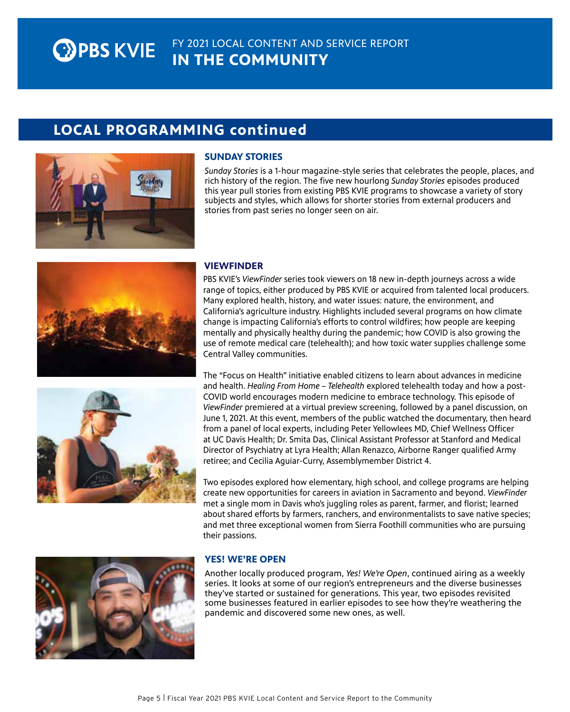#### FY 2021 LOCAL CONTENT AND SERVICE REPORT **OPBS KVIE IN THE COMMUNITY**

# **LOCAL PROGRAMMING continued**



#### **SUNDAY STORIES**

*Sunday Stories* is a 1-hour magazine-style series that celebrates the people, places, and rich history of the region. The five new hourlong *Sunday Stories* episodes produced this year pull stories from existing PBS KVIE programs to showcase a variety of story subjects and styles, which allows for shorter stories from external producers and stories from past series no longer seen on air.





#### **VIEWFINDER**

PBS KVIE's *ViewFinder* series took viewers on 18 new in-depth journeys across a wide range of topics, either produced by PBS KVIE or acquired from talented local producers. Many explored health, history, and water issues: nature, the environment, and California's agriculture industry. Highlights included several programs on how climate change is impacting California's efforts to control wildfires; how people are keeping mentally and physically healthy during the pandemic; how COVID is also growing the use of remote medical care (telehealth); and how toxic water supplies challenge some Central Valley communities.

The "Focus on Health" initiative enabled citizens to learn about advances in medicine and health. *Healing From Home – Telehealth* explored telehealth today and how a post-COVID world encourages modern medicine to embrace technology. This episode of *ViewFinder* premiered at a virtual preview screening, followed by a panel discussion, on June 1, 2021. At this event, members of the public watched the documentary, then heard from a panel of local experts, including Peter Yellowlees MD, Chief Wellness Officer at UC Davis Health; Dr. Smita Das, Clinical Assistant Professor at Stanford and Medical Director of Psychiatry at Lyra Health; Allan Renazco, Airborne Ranger qualified Army retiree; and Cecilia Aguiar-Curry, Assemblymember District 4.

Two episodes explored how elementary, high school, and college programs are helping create new opportunities for careers in aviation in Sacramento and beyond. *ViewFinder* met a single mom in Davis who's juggling roles as parent, farmer, and florist; learned about shared efforts by farmers, ranchers, and environmentalists to save native species; and met three exceptional women from Sierra Foothill communities who are pursuing their passions.



#### **YES! WE'RE OPEN**

Another locally produced program, *Yes! We're Open*, continued airing as a weekly series. It looks at some of our region's entrepreneurs and the diverse businesses they've started or sustained for generations. This year, two episodes revisited some businesses featured in earlier episodes to see how they're weathering the pandemic and discovered some new ones, as well.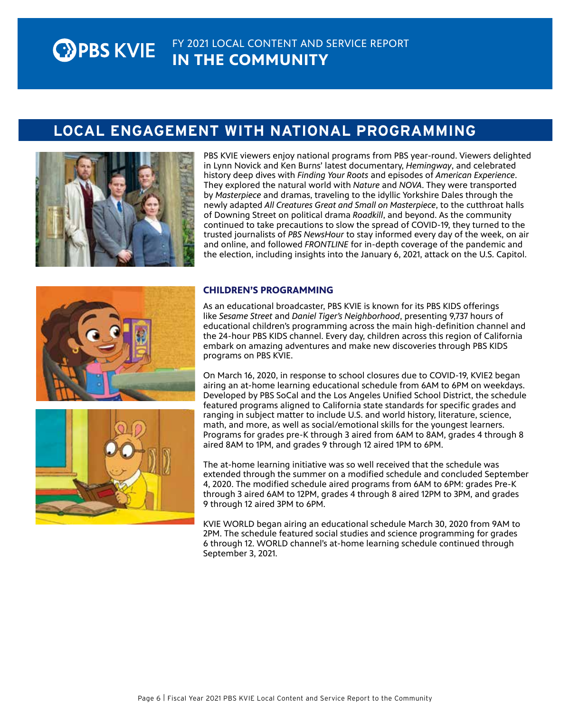#### FY 2021 LOCAL CONTENT AND SERVICE REPORT **EXPBS KVIE IN THE COMMUNITY**

## LOCAL ENGAGEMENT WITH NATIONAL PROGRAMMING



PBS KVIE viewers enjoy national programs from PBS year-round. Viewers delighted in Lynn Novick and Ken Burns' latest documentary, *Hemingway*, and celebrated history deep dives with *Finding Your Roots* and episodes of *American Experience*. They explored the natural world with *Nature* and *NOVA*. They were transported by *Masterpiece* and dramas, traveling to the idyllic Yorkshire Dales through the newly adapted *All Creatures Great and Small on Masterpiece*, to the cutthroat halls of Downing Street on political drama *Roadkill*, and beyond. As the community continued to take precautions to slow the spread of COVID-19, they turned to the trusted journalists of *PBS NewsHour* to stay informed every day of the week, on air and online, and followed *FRONTLINE* for in-depth coverage of the pandemic and the election, including insights into the January 6, 2021, attack on the U.S. Capitol.





### **CHILDREN'S PROGRAMMING**

As an educational broadcaster, PBS KVIE is known for its PBS KIDS offerings like *Sesame Street* and *Daniel Tiger's Neighborhood*, presenting 9,737 hours of educational children's programming across the main high-definition channel and the 24-hour PBS KIDS channel. Every day, children across this region of California embark on amazing adventures and make new discoveries through PBS KIDS programs on PBS KVIE.

On March 16, 2020, in response to school closures due to COVID-19, KVIE2 began airing an at-home learning educational schedule from 6AM to 6PM on weekdays. Developed by PBS SoCal and the Los Angeles Unified School District, the schedule featured programs aligned to California state standards for specific grades and ranging in subject matter to include U.S. and world history, literature, science, math, and more, as well as social/emotional skills for the youngest learners. Programs for grades pre-K through 3 aired from 6AM to 8AM, grades 4 through 8 aired 8AM to 1PM, and grades 9 through 12 aired 1PM to 6PM.

The at-home learning initiative was so well received that the schedule was extended through the summer on a modified schedule and concluded September 4, 2020. The modified schedule aired programs from 6AM to 6PM: grades Pre-K through 3 aired 6AM to 12PM, grades 4 through 8 aired 12PM to 3PM, and grades 9 through 12 aired 3PM to 6PM.

KVIE WORLD began airing an educational schedule March 30, 2020 from 9AM to 2PM. The schedule featured social studies and science programming for grades 6 through 12. WORLD channel's at-home learning schedule continued through September 3, 2021.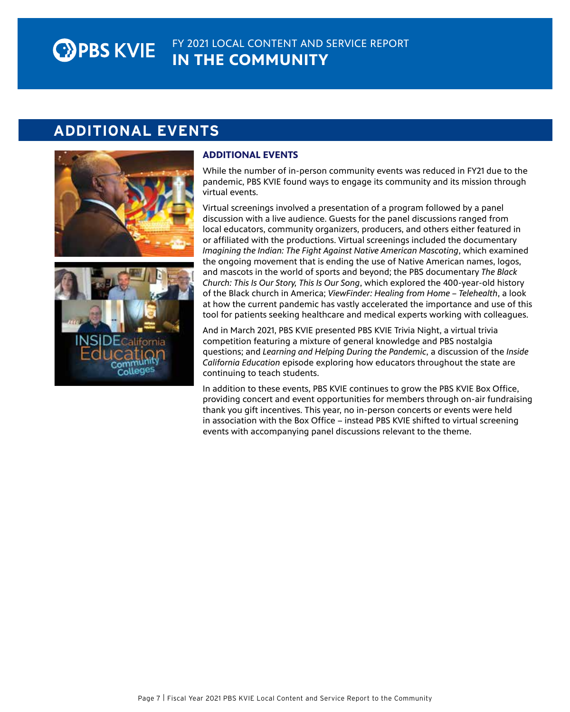#### FY 2021 LOCAL CONTENT AND SERVICE REPORT **EXPBS KVIE IN THE COMMUNITY**

## ADDITIONAL EVENTS





### **ADDITIONAL EVENTS**

While the number of in-person community events was reduced in FY21 due to the pandemic, PBS KVIE found ways to engage its community and its mission through virtual events.

Virtual screenings involved a presentation of a program followed by a panel discussion with a live audience. Guests for the panel discussions ranged from local educators, community organizers, producers, and others either featured in or affiliated with the productions. Virtual screenings included the documentary *Imagining the Indian: The Fight Against Native American Mascoting*, which examined the ongoing movement that is ending the use of Native American names, logos, and mascots in the world of sports and beyond; the PBS documentary *The Black Church: This Is Our Story, This Is Our Song*, which explored the 400-year-old history of the Black church in America; *ViewFinder: Healing from Home – Telehealth*, a look at how the current pandemic has vastly accelerated the importance and use of this tool for patients seeking healthcare and medical experts working with colleagues.

And in March 2021, PBS KVIE presented PBS KVIE Trivia Night, a virtual trivia competition featuring a mixture of general knowledge and PBS nostalgia questions; and *Learning and Helping During the Pandemic*, a discussion of the *Inside California Education* episode exploring how educators throughout the state are continuing to teach students.

In addition to these events, PBS KVIE continues to grow the PBS KVIE Box Office, providing concert and event opportunities for members through on-air fundraising thank you gift incentives. This year, no in-person concerts or events were held in association with the Box Office – instead PBS KVIE shifted to virtual screening events with accompanying panel discussions relevant to the theme.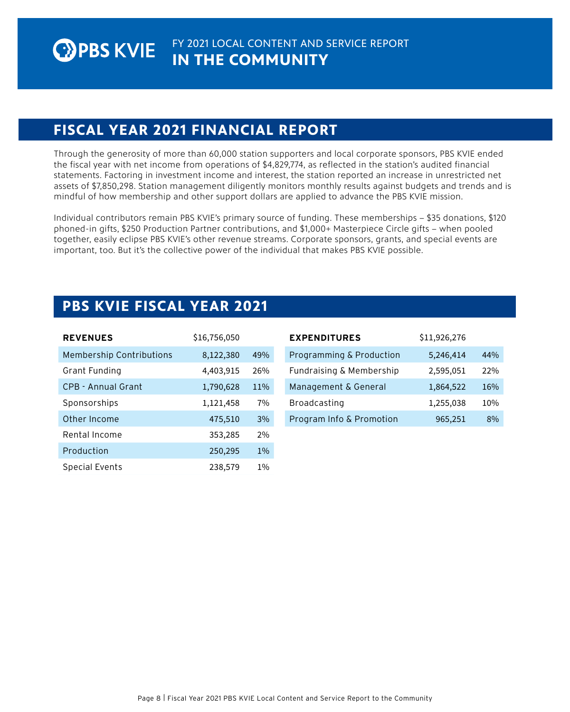## **FISCAL YEAR 2021 FINANCIAL REPORT**

Through the generosity of more than 60,000 station supporters and local corporate sponsors, PBS KVIE ended the fiscal year with net income from operations of \$4,829,774, as reflected in the station's audited financial statements. Factoring in investment income and interest, the station reported an increase in unrestricted net assets of \$7,850,298. Station management diligently monitors monthly results against budgets and trends and is mindful of how membership and other support dollars are applied to advance the PBS KVIE mission.

Individual contributors remain PBS KVIE's primary source of funding. These memberships – \$35 donations, \$120 phoned-in gifts, \$250 Production Partner contributions, and \$1,000+ Masterpiece Circle gifts – when pooled together, easily eclipse PBS KVIE's other revenue streams. Corporate sponsors, grants, and special events are important, too. But it's the collective power of the individual that makes PBS KVIE possible.

## **PBS KVIE FISCAL YEAR 2021**

| <b>REVENUES</b>                 | \$16,756,050 |       | <b>EXPENDIT</b>   |
|---------------------------------|--------------|-------|-------------------|
| <b>Membership Contributions</b> | 8,122,380    | 49%   | Programm          |
| Grant Funding                   | 4,403,915    | 26%   | Fundraisin        |
| CPB - Annual Grant              | 1,790,628    | 11%   | Manageme          |
| Sponsorships                    | 1,121,458    | 7%    | <b>Broadcasti</b> |
| Other Income                    | 475,510      | 3%    | Program In        |
| Rental Income                   | 353,285      | 2%    |                   |
| Production                      | 250,295      | $1\%$ |                   |
| Special Events                  | 238,579      | $1\%$ |                   |

| <b>EXPENDITURES</b>      | \$11,926,276 |     |
|--------------------------|--------------|-----|
| Programming & Production | 5,246,414    | 44% |
| Fundraising & Membership | 2,595,051    | 22% |
| Management & General     | 1,864,522    | 16% |
| <b>Broadcasting</b>      | 1,255,038    | 10% |
| Program Info & Promotion | 965,251      | 8%  |